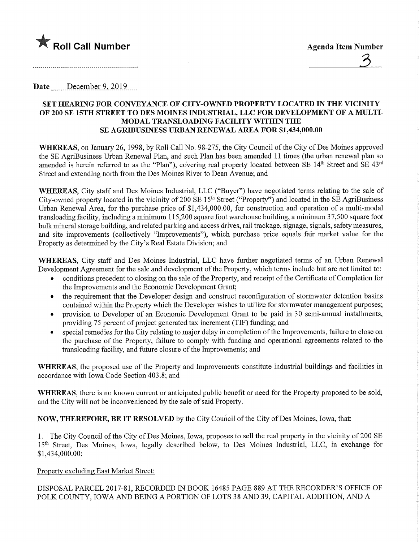

Date December 9, 2019

#### SET HEARING FOR CONVEYANCE OF CITY-OWNED PROPERTY LOCATED IN THE VICINITY OF 200 SE 15TH STREET TO DES MOINES INDUSTRIAL, LLC FOR DEVELOPMENT OF A MULTI-MODAL TRANSLOADING FACILITY WITHIN THE SE AGRIBUSINESS URBAN RENEWAL AREA FOR \$1,434,000.00

WHEREAS, on January 26, 1998, by Roll Call No. 98-275, the City Council of the City of Des Moines approved the SE AgriBusiness Urban Renewal Plan, and such Plan has been amended 11 times (the urban renewal plan so amended is herein referred to as the "Plan"), covering real property located between SE 14<sup>th</sup> Street and SE 43<sup>rd</sup> Street and extending north from the Des Moines River to Dean Avenue; and

WHEREAS, City staff and Des Moines Industrial, LLC ("Buyer") have negotiated terms relating to the sale of City-owned property located in the vicinity of 200 SE 15<sup>th</sup> Street ("Property") and located in the SE AgriBusiness Urban Renewal Area, for the purchase price of \$1,434,000.00, for construction and operation of a multi-modal transloading facility, including a minimum 115,200 square foot warehouse building, a minimum 37,500 square foot bulk mineral storage building, and related parking and access drives, rail trackage, signage, signals, safety measures, and site improvements (collectively "Improvements"), which purchase price equals fair market value for the Property as determined by the City's Real Estate Division; and

WHEREAS, City staff and Des Moines Industrial, LLC have further negotiated terms of an Urban Renewal Development Agreement for the sale and development of the Property, which terms include but are not limited to:

- conditions precedent to closing on the sale of the Property, and receipt of the Certificate of Completion for the Improvements and the Economic Development Grant;
- the requirement that the Developer design and construct reconfiguration of stormwater detention basins contained within the Property which the Developer wishes to utilize for stormwater management purposes;
- provision to Developer of an Economic Development Grant to be paid in 30 semi-annual installments, providing 75 percent of project generated tax increment (TIP) funding; and
- special remedies for the City relating to major delay in completion of the Improvements, failure to close on the purchase of the Property, failure to comply with funding and operational agreements related to the transloading facility, and future closure of the Improvements; and

WHEREAS, the proposed use of the Property and Improvements constitute industrial buildings and facilities in accordance with Iowa Code Section 403.8; and

WHEREAS, there is no known current or anticipated public benefit or need for the Property proposed to be sold, and the City will not be inconvenienced by the sale of said Property.

NOW, THEREFORE, BE IT RESOLVED by the City Council of the City of Des Moines, Iowa, that:

1. The City Council of the City of Des Moines, Iowa, proposes to sell the real property in the vicinity of 200 SE 15th Street, Des Moines, Iowa, legally described below, to Des Moines Industrial, LLC, in exchange for \$1,434,000.00:

Property excluding East Market Street:

DISPOSAL PARCEL 2017-81, RECORDED IN BOOK 16485 PAGE 889 AT THE RECORDER'S OFFICE OF POLK COUNTY, IOWA AND BEING A PORTION OF LOTS 38 AND 39, CAPITAL ADDITION, AND A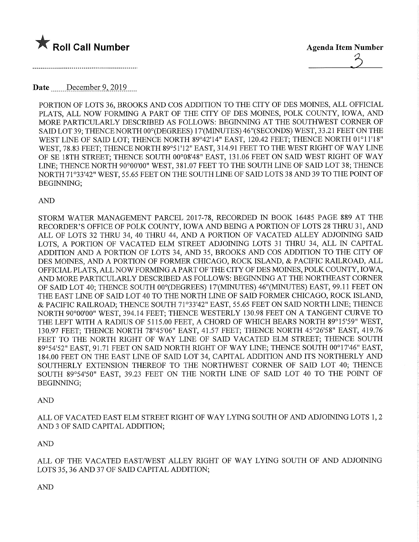



# Date December 9, 2019

PORTION OF LOTS 36, BROOKS AND COS ADDITION TO THE CITY OF DES MOINES, ALL OFFICIAL PLATS, ALL NOW FORMING A PART OF THE CITY OF DES MOINES, POLK COUNTY, IOWA, AND MORE PARTICULARLY DESCRIBED AS FOLLOWS: BEGINNING AT THE SOUTHWEST CORNER OF SAID LOT 39; THENCE NORTH 00°(DEGREES) 17'(MINUTES) 46" (SECONDS) WEST, 33.21 FEET ON THE WEST LINE OF SAID LOT; THENCE NORTH 89°42'14" EAST, 120.42 FEET; THENCE NORTH 01°11'18" WEST, 78.83 FEET; THENCE NORTH 89°51'12" EAST, 314.91 FEET TO THE WEST RIGHT OF WAY LINE OF SE 18TH STREET; THENCE SOUTH 00°08'48" EAST, 131.06 FEET ON SAID WEST RIGHT OF WAY LINE; THENCE NORTH 90°00'00" WEST, 381.07 FEET TO THE SOUTH LINE OF SAID LOT 38; THENCE NORTH 71 °33'42" WEST, 55.65 FEET ON THE SOUTH LINE OF SAID LOTS 38 AND 39 TO THE POINT OF BEGINNING;

#### AND

STORM WATER MANAGEMENT PARCEL 2017-78, RECORDED IN BOOK 16485 PAGE 889 AT THE RECORDER'S OFFICE OF POLK COUNTY, IOWA AND BEING A PORTION OF LOTS 28 THRU 31, AND ALL OF LOTS 32 THRU 34, 40 THRU 44, AND A PORTION OF VACATED ALLEY ADJOINING SAID LOTS, A PORTION OF VACATED ELM STREET ADJOINING LOTS 31 THRU 34, ALL IN CAPITAL ADDITION AND A PORTION OF LOTS 34, AND 35, BROOKS AND COS ADDITION TO THE CITY OF DES MOINES, AND A PORTION OF FORMER CHICAGO, ROCK ISLAND, & PACIFIC RAILROAD, ALL OFFICIAL PLATS, ALL NOW FORMING A PART OF THE CITY OF DES MOINES, POLK COUNTY, IOWA, AND MORE PARTICULARLY DESCRIBED AS FOLLOWS: BEGINNING AT THE NORTHEAST CORNER OF SAID LOT 40; THENCE SOUTH 00°(DEGREES) 17'(MINUTES) 46"(MINUTES) EAST, 99.11 FEET ON THE EAST LINE OF SAID LOT 40 TO THE NORTH LINE OF SAID FORMER CHICAGO, ROCK ISLAND, & PACIFIC RAILROAD; THENCE SOUTH 71°33'42" EAST, 55.65 FEET ON SAID NORTH LINE; THENCE NORTH 90°00'00" WEST, 394.14 FEET; THENCE WESTERLY 130.98 FEET ON A TANGENT CURVE TO THE LEFT WITH A RADIUS OF 5115.00 FEET, A CHORD OF WHICH BEARS NORTH 89°15'59" WEST, 130.97 FEET; THENCE NORTH 78°45'06" EAST, 41.57 FEET; THENCE NORTH 45°26'58" EAST, 419.76 FEET TO THE NORTH RIGHT OF WAY LINE OF SAID VACATED ELM STREET; THENCE SOUTH 89°54'52" EAST, 91.71 FEET ON SAID NORTH RIGHT OF WAY LINE; THENCE SOUTH 00°17'46" EAST, 184.00 FEET ON THE EAST LINE OF SAID LOT 34, CAPITAL ADDITION AND ITS NORTHERLY AND SOUTHERLY EXTENSION THEREOF TO THE NORTHWEST CORNER OF SAID LOT 40; THENCE SOUTH 89°54'50" EAST, 39.23 FEET ON THE NORTH LINE OF SAID LOT 40 TO THE POINT OF BEGINNING;

### AND

ALL OF VACATED EAST ELM STREET RIGHT OF WAY LYING SOUTH OF AND ADJOINING LOTS 1,2 AND 3 OF SAID CAPITAL ADDITION;

### AND

ALL OF THE VACATED EAST/WEST ALLEY RIGHT OF WAY LYING SOUTH OF AND ADJOINING LOTS 35, 36 AND 37 OF SAID CAPITAL ADDITION;

AND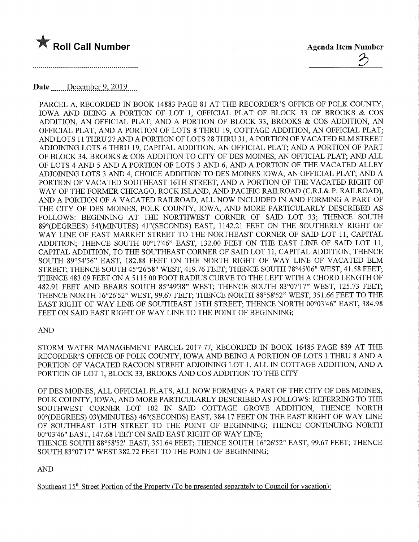

Date December 9, 2019

PARCEL A, RECORDED IN BOOK 14883 PAGE 81 AT THE RECORDER'S OFFICE OF POLK COUNTY, IOWA AND BEING A PORTION OF LOT 1, OFFICIAL PLAT OF BLOCK 33 OF BROOKS & COS ADDITION, AN OFFICIAL PLAT; AND A PORTION OF BLOCK 33, BROOKS & COS ADDITION, AN OFFICIAL PLAT, AND A PORTION OF LOTS 8 THRU 19, COTTAGE ADDITION, AN OFFICIAL PLAT; AND LOTS 11 THRU 27 AND A PORTION OF LOTS 28 THRU 31, A PORTION OF VACATED ELM STREET ADJOINING LOTS 6 THRU 19, CAPITAL ADDITION, AN OFFICIAL PLAT; AND A PORTION OF PART OF BLOCK 34, BROOKS & COS ADDITION TO CITY OF DES MOINES, AN OFFICIAL PLAT; AND ALL OF LOTS 4 AND 5 AND A PORTION OF LOTS 3 AND 6, AND A PORTION OF THE VACATED ALLEY ADJOINING LOTS 3 AND 4, CHOICE ADDITION TO DES MOINES IOWA, AN OFFICIAL PLAT; AND A PORTION OF VACATED SOUTHEAST 16TH STREET, AND A PORTION OF THE VACATED RIGHT OF WAY OF THE FORMER CHICAGO, ROCK ISLAND, AND PACIFIC RAILROAD (C.R.I.& P. RAILROAD), AND A PORTION OF A VACATED RAILROAD, ALL NOW INCLUDED IN AND FORMING A PART OF THE CITY OF DES MOINES, POLK COUNTY, IOWA, AND MORE PARTICULARLY DESCRIBED AS FOLLOWS: BEGINNING AT THE NORTHWEST CORNER OF SAID LOT 33; THENCE SOUTH 89°(DEGREES) 54'(MINUTES) 41 "(SECONDS) EAST, 1142.21 FEET ON THE SOUTHERLY RIGHT OF WAY LINE OF EAST MARKET STREET TO THE NORTHEAST CORNER OF SAID LOT 11, CAPITAL ADDITION; THENCE SOUTH 00°17'46" EAST, 132.00 FEET ON THE EAST LINE OF SAID LOT 11, CAPITAL ADDITION, TO THE SOUTHEAST CORNER OF SAID LOT 11, CAPITAL ADDITION; THENCE SOUTH 89°54'56" EAST, 182.88 FEET ON THE NORTH RIGHT OF WAY LINE OF VACATED ELM STREET; THENCE SOUTH 45°26'58" WEST, 419.76 FEET; THENCE SOUTH 78°45'06" WEST, 41.58 FEET; THENCE 483.09 FEET ON A 5115.00 FOOT RADIUS CURVE TO THE LEFT WITH A CHORD LENGTH OF 482.91 FEET AND BEARS SOUTH 85°49'38" WEST; THENCE SOUTH 83°07'17" WEST, 125.73 FEET; THENCE NORTH 16°26'52" WEST, 99.67 FEET; THENCE NORTH 88°58'52" WEST, 351.66 FEET TO THE EAST RIGHT OF WAY LWE OF SOUTHEAST 15TH STREET; THENCE NORTH 00°03'46" EAST, 384.98 FEET ON SAID EAST RIGHT OF WAY LINE TO THE POINT OF BEGINNING;

### AND

STORM WATER MANAGEMENT PARCEL 2017-77, RECORDED IN BOOK 16485 PAGE 889 AT THE RECORDER'S OFFICE OF POLK COUNTY, IOWA AND BEING A PORTION OF LOTS 1 THRU 8 AND A PORTION OF VACATED RACOON STREET ADJOINING LOT 1, ALL IN COTTAGE ADDITION, AND A PORTION OF LOT 1, BLOCK 33, BROOKS AND COS ADDITION TO THE CITY

OF DES MOINES, ALL OFFICIAL PLATS, ALL NOW FORMING A PART OF THE CITY OF DES MOINES, POLK COUNTY, IOWA, AND MORE PARTICULARLY DESCRIBED AS FOLLOWS: REFERRING TO THE SOUTHWEST CORNER LOT 102 IN SAID COTTAGE GROVE ADDITION, THENCE NORTH 00°(DEGREES) 03'(MINUTES) 46"(SECONDS) EAST, 384.17 FEET ON THE EAST RIGHT OF WAY LINE OF SOUTHEAST 15TH STREET TO THE POINT OF BEGINNING; THENCE CONTINUING NORTH 00°03'46" EAST, 147.68 FEET ON SAID EAST RIGHT OF WAY LINE;

THENCE SOUTH 88°58'52" EAST, 351.64 FEET; THENCE SOUTH 16°26'52" EAST, 99.67 FEET; THENCE SOUTH 83°07'17" WEST 382.72 FEET TO THE POINT OF BEGINNING;

AND

Southeast 15<sup>th</sup> Street Portion of the Property (To be presented separately to Council for vacation):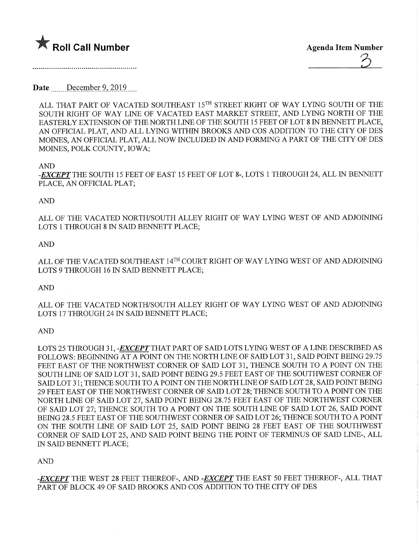

Date December 9, 2019

ALL THAT PART OF VACATED SOUTHEAST 15™ STREET MGHT OF WAY LYING SOUTH OF THE SOUTH RIGHT OF WAY LINE OF VACATED EAST MARKET STREET, AND LYING NORTH OF THE EASTERLY EXTENSION OF THE NORTH LINE OF THE SOUTH 15 FEET OF LOT 8 IN BENNETT PLACE, AN OFFICIAL PLAT, AND ALL LYING WITHIN BROOKS AND COS ADDITION TO THE CITY OF DES MOINES, AN OFFICIAL PLAT, ALL NOW INCLUDED IN AND FORMING A PART OF THE CITY OF DES MOINES, POLK COUNTY, IOWA;

### AND

-**EXCEPT** THE SOUTH 15 FEET OF EAST 15 FEET OF LOT 8-, LOTS 1 THROUGH 24, ALL IN BENNETT PLACE, AN OFFICIAL PLAT;

AND

ALL OF THE VACATED NORTH/SOUTH ALLEY RIGHT OF WAY LYING WEST OF AND ADJOINING LOTS 1 THROUGH 8 IN SAID BENNETT PLACE;

## AND

ALL OF THE VACATED SOUTHEAST 14™ COURT RIGHT OF WAY LYING WEST OF AND ADJOINING LOTS 9 THROUGH 16 IN SAID BENNETT PLACE;

AND

ALL OF THE VACATED NORTH/SOUTH ALLEY RIGHT OF WAY LYING WEST OF AND ADJOINING LOTS 17 THROUGH 24 IN SAID BENNETT PLACE;

AND

LOTS 25 THROUGH 31, -EXCEPT THAT PART OF SAID LOTS LYING WEST OF A LINE DESCRIBED AS FOLLOWS: BEGINNING AT A POINT ON THE NORTH LINE OF SAID LOT 31, SAID POINT BEING 29.75 FEET EAST OF THE NORTHWEST CORNER OF SAID LOT 31, THENCE SOUTH TO A POINT ON THE SOUTH LINE OF SAID LOT 31, SAID POINT BEING 29.5 FEET EAST OF THE SOUTHWEST CORNER OF SAID LOT 31; THENCE SOUTH TO A POINT ON THE NORTH LINE OF SAID LOT 28, SAID POINT BEING 29 FEET EAST OF THE NORTHWEST CORNER OF SAID LOT 28; THENCE SOUTH TO A POINT ON THE NORTH LINE OF SAID LOT 27, SAID POINT BEING 28.75 FEET EAST OF THE NORTHWEST CORNER OF SAID LOT 27; THENCE SOUTH TO A POINT ON THE SOUTH LINE OF SAID LOT 26, SAID POINT BEING 28.5 FEET EAST OF THE SOUTHWEST CORNER OF SAID LOT 26; THENCE SOUTH TO A POINT ON THE SOUTH LINE OF SAID LOT 25, SAID POINT BEING 28 FEET EAST OF THE SOUTHWEST CORNER OF SAID LOT 25, AND SAID POINT BEING THE POINT OF TERMINUS OF SAID LINE-, ALL IN SAID BENNETT PLACE;

## AND

-EXCEPT THE WEST 28 FEET THEREOF-, AND -EXCEPT THE EAST 50 FEET THEREOF-, ALL THAT PART OF BLOCK 49 OF SAID BROOKS AND COS ADDITION TO THE CITY OF DES